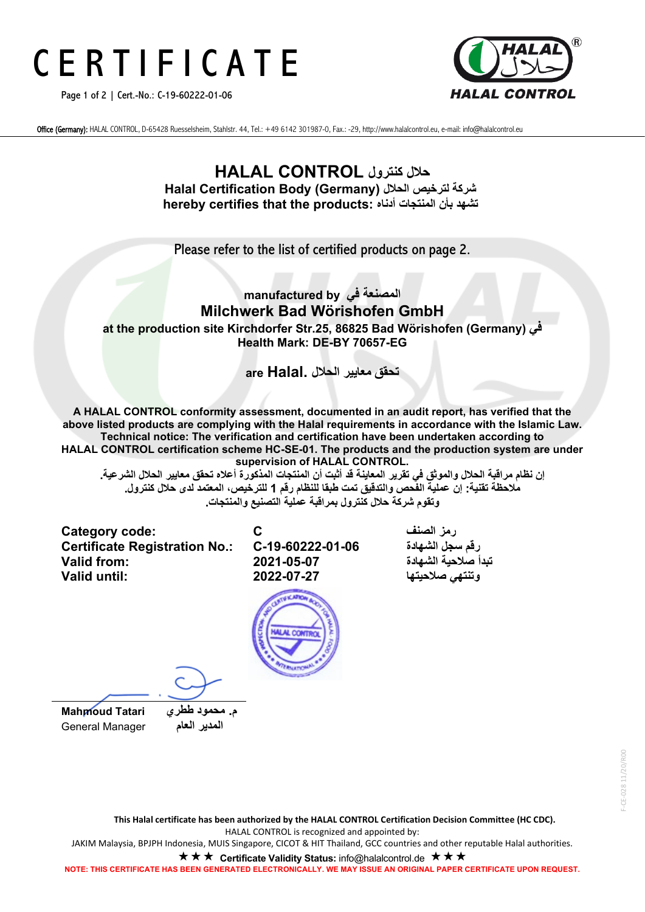## C E R T I F I C A T E

Page 1 of 2 | Cert.-No.: C-19-60222-01-06



Office (Germany): HALAL CONTROL, D-65428 Ruesselsheim, Stahlstr. 44, Tel.: +49 6142 301987-0, Fax.: -29, http://www.halalcontrol.eu, e-mail: info@halalcontrol.eu

## **حلال كنترول CONTROL HALAL Halal Certification Body (Germany) الحلال لترخیص شركة hereby certifies that the products: أدناه المنتجات بأن تشھد**

Please refer to the list of certified products on page 2.

## **المصنعة في by manufactured Milchwerk Bad Wörishofen GmbH at the production site Kirchdorfer Str.25, 86825 Bad Wörishofen (Germany) في Health Mark: DE-BY 70657-EG**

**تحقق معاییر الحلال .Halal are**

**A HALAL CONTROL conformity assessment, documented in an audit report, has verified that the above listed products are complying with the Halal requirements in accordance with the Islamic Law. Technical notice: The verification and certification have been undertaken according to HALAL CONTROL certification scheme HC-SE-01. The products and the production system are under supervision of HALAL CONTROL.**

إن نظام مراقبة الحلال والموثق في تقرير المعاينة قد أثبت أن المنتجات المذكورة أعلاه تحقق معايير الحلال الشرعية **ملاحظة تقنیة: إن عملیة الفحص والتدقیق تمت طبقا للنظام رقم 1 للترخیص، المعتمد لدى حلال كنترول . وتقوم شركة حلال كنترول بمراقبة عمل یة التصنیع والمنتجات .**

**Category code: C الصنف رمز Certificate Registration No.: تبدأ صلاحیة الشھادة 2021-05-07 :from Valid**



**وتنتھي صلاحیتھا 2022-07-27 :until Valid**

 **م. محمود ططري Tatari Mahmoud المدیر العام** Manager General

**This Halal certificate has been authorized by the HALAL CONTROL Certification Decision Committee (HC CDC).** HALAL CONTROL is recognized and appointed by: JAKIM Malaysia, BPJPH Indonesia, MUIS Singapore, CICOT & HIT Thailand, GCC countries and other reputable Halal authorities.

**★ ★ ★ Certificate Validity Status:** info@halalcontrol.de **★ ★ ★** 

**NOTE: THIS CERTIFICATE HAS BEEN GENERATED ELECTRONICALLY. WE MAY ISSUE AN ORIGINAL PAPER CERTIFICATE UPON REQUEST.**